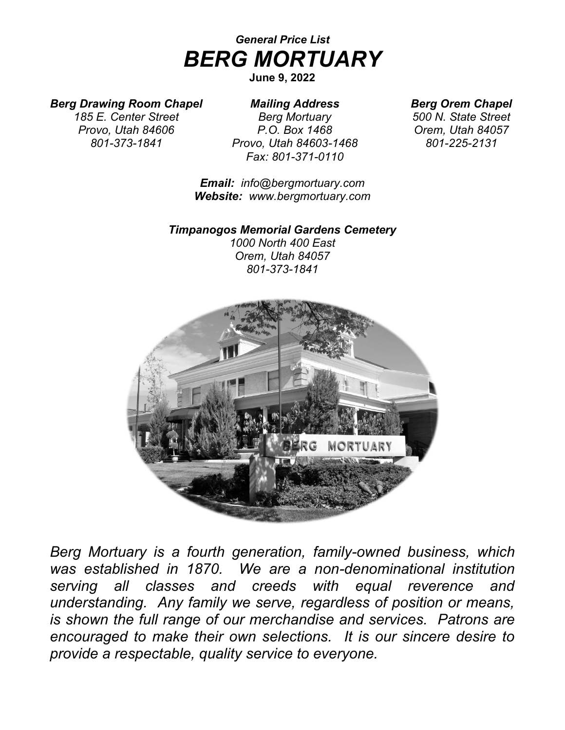# *General Price List BERG MORTUARY*

## **June 9, 2022**

# *Berg Drawing Room Chapel*

*185 E. Center Street Provo, Utah 84606 801-373-1841*

*Mailing Address Berg Mortuary P.O. Box 1468 Provo, Utah 84603-1468 Fax: 801-371-0110*

*Email: info@bergmortuary.com Website: www.bergmortuary.com*

### *Timpanogos Memorial Gardens Cemetery*

*1000 North 400 East Orem, Utah 84057 801-373-1841*



*Berg Mortuary is a fourth generation, family-owned business, which was established in 1870. We are a non-denominational institution serving all classes and creeds with equal reverence and understanding. Any family we serve, regardless of position or means, is shown the full range of our merchandise and services. Patrons are encouraged to make their own selections. It is our sincere desire to provide a respectable, quality service to everyone.*

*Berg Orem Chapel*

*500 N. State Street Orem, Utah 84057 801-225-2131*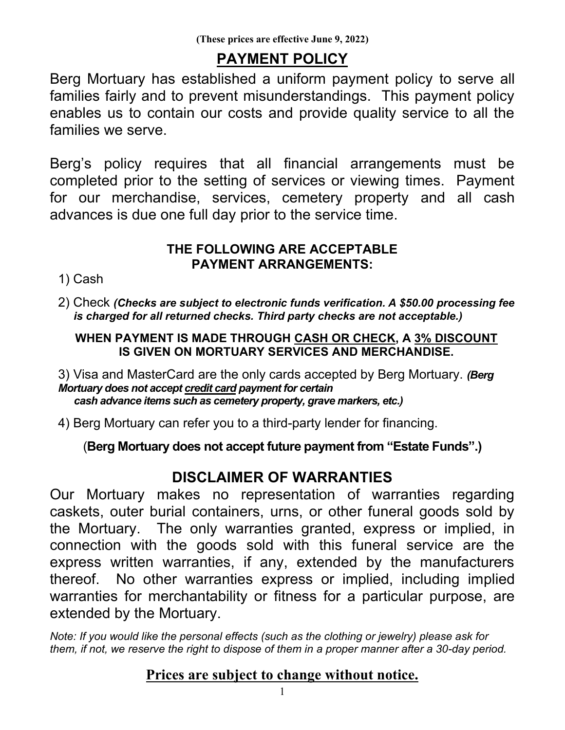# **PAYMENT POLICY**

Berg Mortuary has established a uniform payment policy to serve all families fairly and to prevent misunderstandings. This payment policy enables us to contain our costs and provide quality service to all the families we serve.

Berg's policy requires that all financial arrangements must be completed prior to the setting of services or viewing times. Payment for our merchandise, services, cemetery property and all cash advances is due one full day prior to the service time.

# **THE FOLLOWING ARE ACCEPTABLE PAYMENT ARRANGEMENTS:**

1) Cash

2) Check *(Checks are subject to electronic funds verification. A \$50.00 processing fee is charged for all returned checks. Third party checks are not acceptable.)*

# **WHEN PAYMENT IS MADE THROUGH CASH OR CHECK, A 3% DISCOUNT IS GIVEN ON MORTUARY SERVICES AND MERCHANDISE.**

3) Visa and MasterCard are the only cards accepted by Berg Mortuary. *(Berg Mortuary does not accept credit card payment for certain cash advance items such as cemetery property, grave markers, etc.)*

4) Berg Mortuary can refer you to a third-party lender for financing.

(**Berg Mortuary does not accept future payment from "Estate Funds".)**

# **DISCLAIMER OF WARRANTIES**

Our Mortuary makes no representation of warranties regarding caskets, outer burial containers, urns, or other funeral goods sold by the Mortuary. The only warranties granted, express or implied, in connection with the goods sold with this funeral service are the express written warranties, if any, extended by the manufacturers thereof. No other warranties express or implied, including implied warranties for merchantability or fitness for a particular purpose, are extended by the Mortuary.

*Note: If you would like the personal effects (such as the clothing or jewelry) please ask for them, if not, we reserve the right to dispose of them in a proper manner after a 30-day period.*

# **Prices are subject to change without notice.**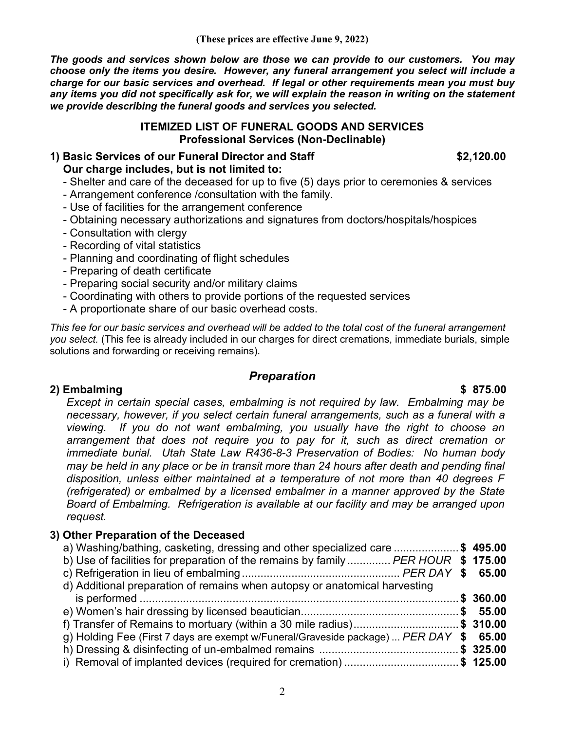*The goods and services shown below are those we can provide to our customers. You may choose only the items you desire. However, any funeral arrangement you select will include a charge for our basic services and overhead. If legal or other requirements mean you must buy any items you did not specifically ask for, we will explain the reason in writing on the statement we provide describing the funeral goods and services you selected.*

#### **ITEMIZED LIST OF FUNERAL GOODS AND SERVICES Professional Services (Non-Declinable)**

#### **1) Basic Services of our Funeral Director and Staff \$2,120.00 Our charge includes, but is not limited to:**

- Shelter and care of the deceased for up to five (5) days prior to ceremonies & services

- Arrangement conference /consultation with the family.
- Use of facilities for the arrangement conference
- Obtaining necessary authorizations and signatures from doctors/hospitals/hospices
- Consultation with clergy
- Recording of vital statistics
- Planning and coordinating of flight schedules
- Preparing of death certificate
- Preparing social security and/or military claims
- Coordinating with others to provide portions of the requested services
- A proportionate share of our basic overhead costs.

*This fee for our basic services and overhead will be added to the total cost of the funeral arrangement you select.* (This fee is already included in our charges for direct cremations, immediate burials, simple solutions and forwarding or receiving remains).

## *Preparation*

#### **2) Embalming \$ 875.00**

*Except in certain special cases, embalming is not required by law. Embalming may be necessary, however, if you select certain funeral arrangements, such as a funeral with a viewing. If you do not want embalming, you usually have the right to choose an arrangement that does not require you to pay for it, such as direct cremation or immediate burial. Utah State Law R436-8-3 Preservation of Bodies: No human body may be held in any place or be in transit more than 24 hours after death and pending final disposition, unless either maintained at a temperature of not more than 40 degrees F (refrigerated) or embalmed by a licensed embalmer in a manner approved by the State Board of Embalming. Refrigeration is available at our facility and may be arranged upon request.*

#### **3) Other Preparation of the Deceased**

| a) Washing/bathing, casketing, dressing and other specialized care \$ 495.00           |  |
|----------------------------------------------------------------------------------------|--|
| b) Use of facilities for preparation of the remains by family  PER HOUR \$ 175.00      |  |
|                                                                                        |  |
| d) Additional preparation of remains when autopsy or anatomical harvesting             |  |
|                                                                                        |  |
|                                                                                        |  |
| f) Transfer of Remains to mortuary (within a 30 mile radius)\$ 310.00                  |  |
| g) Holding Fee (First 7 days are exempt w/Funeral/Graveside package)  PER DAY \$ 65.00 |  |
|                                                                                        |  |
| i) Removal of implanted devices (required for cremation) \$ 125.00                     |  |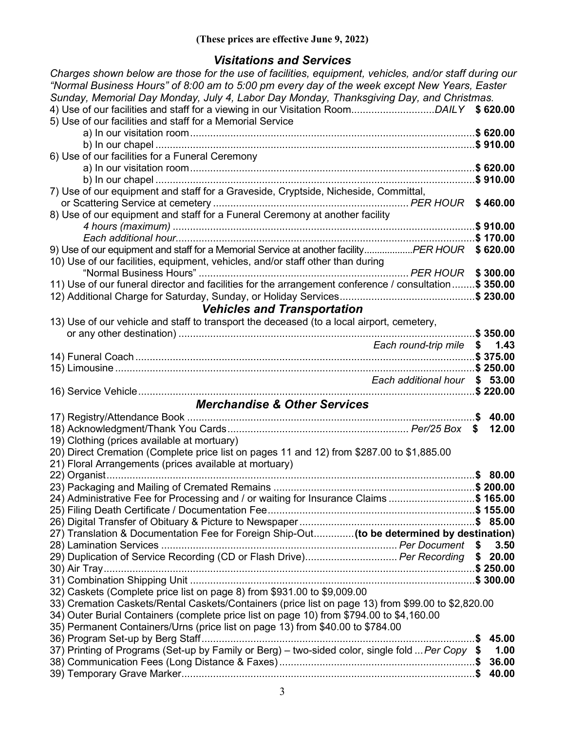# *Visitations and Services*

| Charges shown below are those for the use of facilities, equipment, vehicles, and/or staff during our<br>"Normal Business Hours" of 8:00 am to 5:00 pm every day of the week except New Years, Easter<br>Sunday, Memorial Day Monday, July 4, Labor Day Monday, Thanksgiving Day, and Christmas. |              |
|--------------------------------------------------------------------------------------------------------------------------------------------------------------------------------------------------------------------------------------------------------------------------------------------------|--------------|
| 5) Use of our facilities and staff for a Memorial Service                                                                                                                                                                                                                                        |              |
|                                                                                                                                                                                                                                                                                                  | \$620.00     |
| 6) Use of our facilities for a Funeral Ceremony                                                                                                                                                                                                                                                  | \$910.00     |
|                                                                                                                                                                                                                                                                                                  | $.$ \$620.00 |
|                                                                                                                                                                                                                                                                                                  | \$910.00     |
| 7) Use of our equipment and staff for a Graveside, Cryptside, Nicheside, Committal,                                                                                                                                                                                                              |              |
|                                                                                                                                                                                                                                                                                                  | \$460.00     |
| 8) Use of our equipment and staff for a Funeral Ceremony at another facility                                                                                                                                                                                                                     | \$910.00     |
|                                                                                                                                                                                                                                                                                                  | \$170.00     |
| 9) Use of our equipment and staff for a Memorial Service at another facility PER HOUR                                                                                                                                                                                                            | \$620.00     |
| 10) Use of our facilities, equipment, vehicles, and/or staff other than during                                                                                                                                                                                                                   |              |
|                                                                                                                                                                                                                                                                                                  | \$300.00     |
| 11) Use of our funeral director and facilities for the arrangement conference / consultation \$350.00                                                                                                                                                                                            |              |
| <b>Vehicles and Transportation</b>                                                                                                                                                                                                                                                               |              |
| 13) Use of our vehicle and staff to transport the deceased (to a local airport, cemetery,                                                                                                                                                                                                        |              |
|                                                                                                                                                                                                                                                                                                  | \$350.00     |
| Each round-trip mile                                                                                                                                                                                                                                                                             | 1.43<br>S.   |
|                                                                                                                                                                                                                                                                                                  |              |
| Each additional hour                                                                                                                                                                                                                                                                             | \$53.00      |
|                                                                                                                                                                                                                                                                                                  | \$220.00     |
| <b>Merchandise &amp; Other Services</b>                                                                                                                                                                                                                                                          |              |
|                                                                                                                                                                                                                                                                                                  | 40.00        |
|                                                                                                                                                                                                                                                                                                  | 12.00<br>\$  |
| 19) Clothing (prices available at mortuary)                                                                                                                                                                                                                                                      |              |
| 20) Direct Cremation (Complete price list on pages 11 and 12) from \$287.00 to \$1,885.00<br>21) Floral Arrangements (prices available at mortuary)                                                                                                                                              |              |
|                                                                                                                                                                                                                                                                                                  | \$80.00      |
|                                                                                                                                                                                                                                                                                                  |              |
| 24) Administrative Fee for Processing and / or waiting for Insurance Claims \$ 165.00                                                                                                                                                                                                            |              |
|                                                                                                                                                                                                                                                                                                  |              |
|                                                                                                                                                                                                                                                                                                  |              |
| 27) Translation & Documentation Fee for Foreign Ship-Out (to be determined by destination)                                                                                                                                                                                                       | 3.50         |
| 29) Duplication of Service Recording (CD or Flash Drive) Per Recording                                                                                                                                                                                                                           | \$20.00      |
|                                                                                                                                                                                                                                                                                                  |              |
|                                                                                                                                                                                                                                                                                                  |              |
| 32) Caskets (Complete price list on page 8) from \$931.00 to \$9,009.00                                                                                                                                                                                                                          |              |
| 33) Cremation Caskets/Rental Caskets/Containers (price list on page 13) from \$99.00 to \$2,820.00<br>34) Outer Burial Containers (complete price list on page 10) from \$794.00 to \$4,160.00                                                                                                   |              |
| 35) Permanent Containers/Urns (price list on page 13) from \$40.00 to \$784.00                                                                                                                                                                                                                   |              |
|                                                                                                                                                                                                                                                                                                  | 45.00        |
| 37) Printing of Programs (Set-up by Family or Berg) - two-sided color, single fold  Per Copy \$                                                                                                                                                                                                  | 1.00         |
|                                                                                                                                                                                                                                                                                                  | 36.00        |
|                                                                                                                                                                                                                                                                                                  | 40.00        |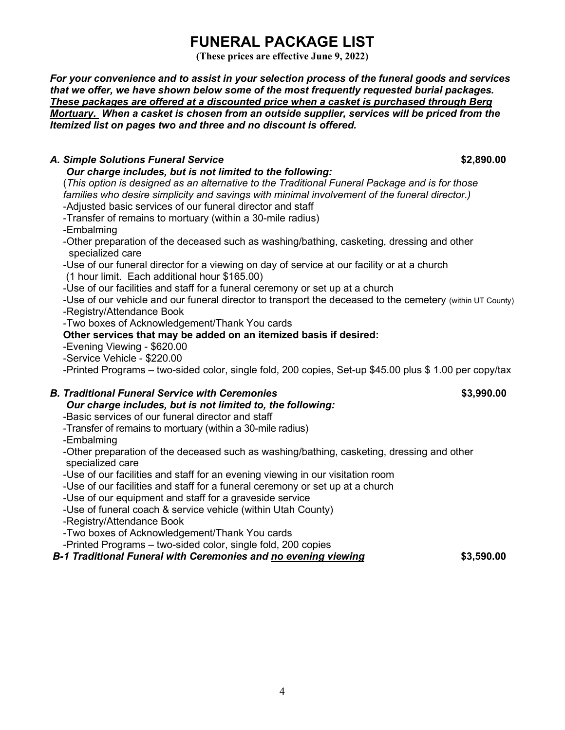# **FUNERAL PACKAGE LIST**

**(These prices are effective June 9, 2022)**

*For your convenience and to assist in your selection process of the funeral goods and services that we offer, we have shown below some of the most frequently requested burial packages. These packages are offered at a discounted price when a casket is purchased through Berg Mortuary. When a casket is chosen from an outside supplier, services will be priced from the Itemized list on pages two and three and no discount is offered.*

### *A. Simple Solutions Funeral Service* **\$2,890.00**

#### *Our charge includes, but is not limited to the following:*

(*This option is designed as an alternative to the Traditional Funeral Package and is for those families who desire simplicity and savings with minimal involvement of the funeral director.)* -Adjusted basic services of our funeral director and staff

-Transfer of remains to mortuary (within a 30-mile radius)

-Embalming

-Other preparation of the deceased such as washing/bathing, casketing, dressing and other specialized care

-Use of our funeral director for a viewing on day of service at our facility or at a church

(1 hour limit. Each additional hour \$165.00)

-Use of our facilities and staff for a funeral ceremony or set up at a church

-Use of our vehicle and our funeral director to transport the deceased to the cemetery (within UT County) -Registry/Attendance Book

-Two boxes of Acknowledgement/Thank You cards

#### **Other services that may be added on an itemized basis if desired:**

-Evening Viewing - \$620.00

-Service Vehicle - \$220.00

-Printed Programs – two-sided color, single fold, 200 copies, Set-up \$45.00 plus \$ 1.00 per copy/tax

# *B. Traditional Funeral Service with Ceremonies* **<b>63,990.00 \$3,990.00**

### *Our charge includes, but is not limited to, the following:*

-Basic services of our funeral director and staff

-Transfer of remains to mortuary (within a 30-mile radius)

-Embalming

-Other preparation of the deceased such as washing/bathing, casketing, dressing and other specialized care

-Use of our facilities and staff for an evening viewing in our visitation room

-Use of our facilities and staff for a funeral ceremony or set up at a church

-Use of our equipment and staff for a graveside service

-Use of funeral coach & service vehicle (within Utah County)

-Registry/Attendance Book

-Two boxes of Acknowledgement/Thank You cards

-Printed Programs – two-sided color, single fold, 200 copies

#### *B-1 Traditional Funeral with Ceremonies and no evening viewing* **\$3,590.00**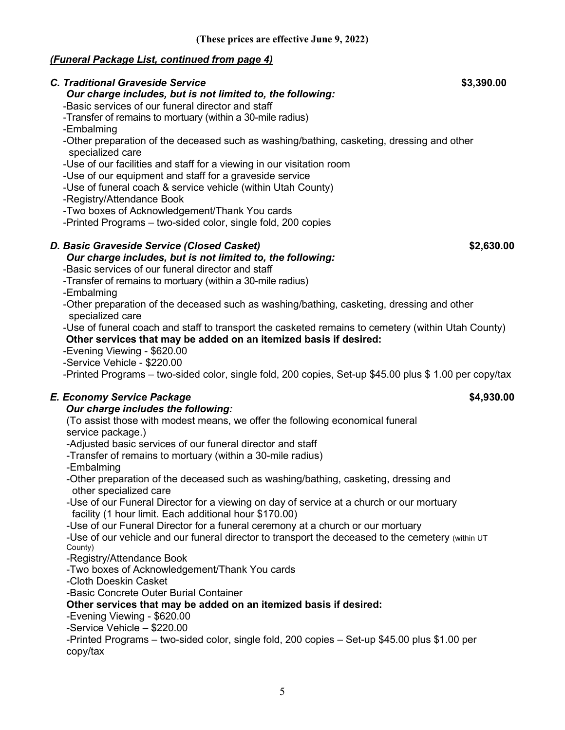#### *(Funeral Package List, continued from page 4)*

| <b>C. Traditional Graveside Service</b><br>Our charge includes, but is not limited to, the following:         | \$3,390.00 |
|---------------------------------------------------------------------------------------------------------------|------------|
| -Basic services of our funeral director and staff                                                             |            |
| -Transfer of remains to mortuary (within a 30-mile radius)                                                    |            |
| -Embalming                                                                                                    |            |
| -Other preparation of the deceased such as washing/bathing, casketing, dressing and other<br>specialized care |            |
| -Use of our facilities and staff for a viewing in our visitation room                                         |            |
| -Use of our equipment and staff for a graveside service                                                       |            |
| -Use of funeral coach & service vehicle (within Utah County)                                                  |            |
| -Registry/Attendance Book                                                                                     |            |
| -Two boxes of Acknowledgement/Thank You cards                                                                 |            |
| -Printed Programs - two-sided color, single fold, 200 copies                                                  |            |
| D. Basic Graveside Service (Closed Casket)                                                                    | \$2,630.00 |
| Our charge includes, but is not limited to, the following:                                                    |            |
| -Basic services of our funeral director and staff                                                             |            |
| -Transfer of remains to mortuary (within a 30-mile radius)                                                    |            |
| -Embalming                                                                                                    |            |
| -Other preparation of the deceased such as washing/bathing, casketing, dressing and other                     |            |
| specialized care                                                                                              |            |
| -Use of funeral coach and staff to transport the casketed remains to cemetery (within Utah County)            |            |
| Other services that may be added on an itemized basis if desired:                                             |            |
| -Evening Viewing - \$620.00                                                                                   |            |
| -Service Vehicle - \$220.00                                                                                   |            |
| -Printed Programs – two-sided color, single fold, 200 copies, Set-up \$45.00 plus \$ 1.00 per copy/tax        |            |
| E. Economy Service Package                                                                                    | \$4,930.00 |
| Our charge includes the following:                                                                            |            |
| (To assist those with modest means, we offer the following economical funeral                                 |            |
| service package.)                                                                                             |            |
| -Adjusted basic services of our funeral director and staff                                                    |            |
| -Transfer of remains to mortuary (within a 30-mile radius)                                                    |            |
| -Embalming                                                                                                    |            |
| -Other preparation of the deceased such as washing/bathing, casketing, dressing and<br>other specialized care |            |
| -Use of our Funeral Director for a viewing on day of service at a church or our mortuary                      |            |
| facility (1 hour limit. Each additional hour \$170.00)                                                        |            |
| -Use of our Funeral Director for a funeral ceremony at a church or our mortuary                               |            |
| -Use of our vehicle and our funeral director to transport the deceased to the cemetery (within UT             |            |
| County)                                                                                                       |            |
| -Registry/Attendance Book                                                                                     |            |
| -Two boxes of Acknowledgement/Thank You cards                                                                 |            |

-Cloth Doeskin Casket

-Basic Concrete Outer Burial Container

**Other services that may be added on an itemized basis if desired:**

-Evening Viewing - \$620.00

-Service Vehicle – \$220.00

-Printed Programs – two-sided color, single fold, 200 copies – Set-up \$45.00 plus \$1.00 per copy/tax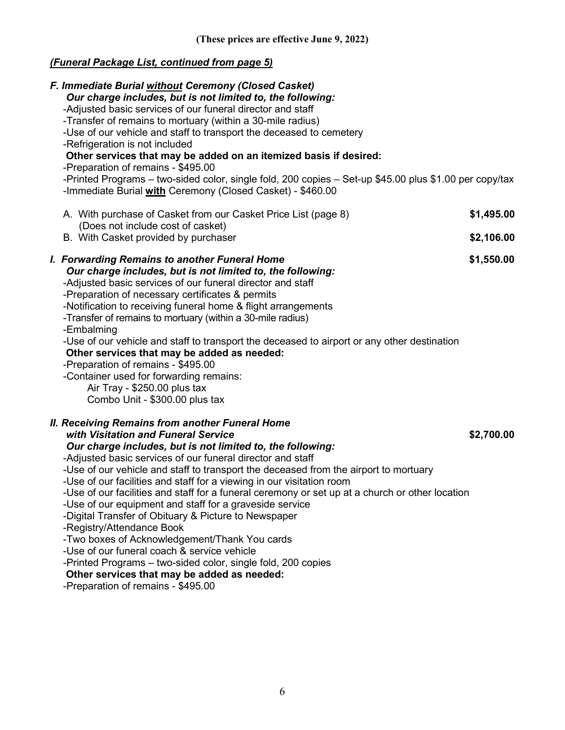# *(Funeral Package List, continued from page 5)*

| F. Immediate Burial without Ceremony (Closed Casket)<br>Our charge includes, but is not limited to, the following:<br>-Adjusted basic services of our funeral director and staff<br>-Transfer of remains to mortuary (within a 30-mile radius)<br>-Use of our vehicle and staff to transport the deceased to cemetery<br>-Refrigeration is not included<br>Other services that may be added on an itemized basis if desired:<br>-Preparation of remains - \$495.00<br>-Printed Programs – two-sided color, single fold, 200 copies – Set-up \$45.00 plus \$1.00 per copy/tax<br>-Immediate Burial with Ceremony (Closed Casket) - \$460.00<br>A. With purchase of Casket from our Casket Price List (page 8)<br>(Does not include cost of casket)                                                                                                                                                  | \$1,495.00 |
|----------------------------------------------------------------------------------------------------------------------------------------------------------------------------------------------------------------------------------------------------------------------------------------------------------------------------------------------------------------------------------------------------------------------------------------------------------------------------------------------------------------------------------------------------------------------------------------------------------------------------------------------------------------------------------------------------------------------------------------------------------------------------------------------------------------------------------------------------------------------------------------------------|------------|
| B. With Casket provided by purchaser                                                                                                                                                                                                                                                                                                                                                                                                                                                                                                                                                                                                                                                                                                                                                                                                                                                               | \$2,106.00 |
| I. Forwarding Remains to another Funeral Home<br>Our charge includes, but is not limited to, the following:<br>-Adjusted basic services of our funeral director and staff<br>-Preparation of necessary certificates & permits<br>-Notification to receiving funeral home & flight arrangements<br>-Transfer of remains to mortuary (within a 30-mile radius)<br>-Embalming<br>-Use of our vehicle and staff to transport the deceased to airport or any other destination<br>Other services that may be added as needed:<br>-Preparation of remains - \$495.00<br>-Container used for forwarding remains:<br>Air Tray - \$250.00 plus tax<br>Combo Unit - \$300.00 plus tax                                                                                                                                                                                                                        | \$1,550.00 |
| <b>II. Receiving Remains from another Funeral Home</b><br>with Visitation and Funeral Service<br>Our charge includes, but is not limited to, the following:<br>-Adjusted basic services of our funeral director and staff<br>-Use of our vehicle and staff to transport the deceased from the airport to mortuary<br>-Use of our facilities and staff for a viewing in our visitation room<br>-Use of our facilities and staff for a funeral ceremony or set up at a church or other location<br>-Use of our equipment and staff for a graveside service<br>-Digital Transfer of Obituary & Picture to Newspaper<br>-Registry/Attendance Book<br>-Two boxes of Acknowledgement/Thank You cards<br>-Use of our funeral coach & service vehicle<br>-Printed Programs - two-sided color, single fold, 200 copies<br>Other services that may be added as needed:<br>-Preparation of remains - \$495.00 | \$2,700.00 |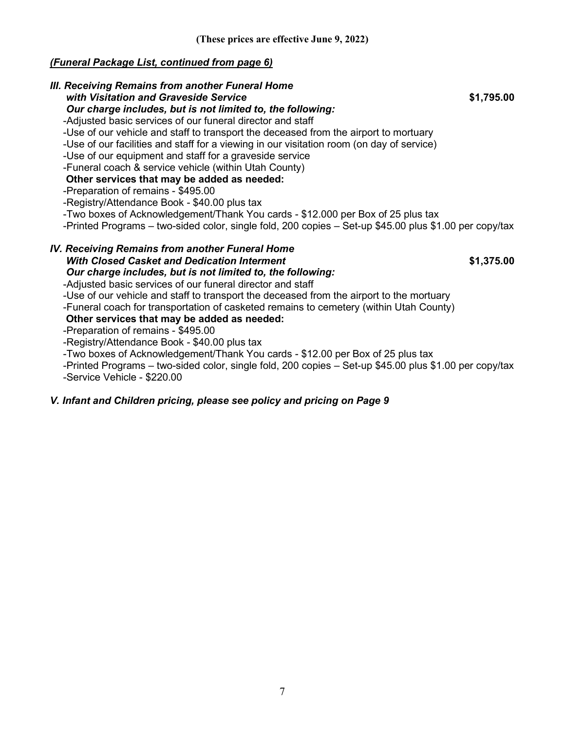## *(Funeral Package List, continued from page 6)*

| III. Receiving Remains from another Funeral Home<br>with Visitation and Graveside Service<br>\$1,795.00<br>Our charge includes, but is not limited to, the following:<br>-Adjusted basic services of our funeral director and staff<br>-Use of our vehicle and staff to transport the deceased from the airport to mortuary<br>-Use of our facilities and staff for a viewing in our visitation room (on day of service)<br>-Use of our equipment and staff for a graveside service<br>-Funeral coach & service vehicle (within Utah County)<br>Other services that may be added as needed:<br>-Preparation of remains - \$495.00<br>-Registry/Attendance Book - \$40.00 plus tax<br>-Two boxes of Acknowledgement/Thank You cards - \$12.000 per Box of 25 plus tax<br>-Printed Programs – two-sided color, single fold, 200 copies – Set-up \$45.00 plus \$1.00 per copy/tax |  |
|--------------------------------------------------------------------------------------------------------------------------------------------------------------------------------------------------------------------------------------------------------------------------------------------------------------------------------------------------------------------------------------------------------------------------------------------------------------------------------------------------------------------------------------------------------------------------------------------------------------------------------------------------------------------------------------------------------------------------------------------------------------------------------------------------------------------------------------------------------------------------------|--|
| <b>IV. Receiving Remains from another Funeral Home</b><br><b>With Closed Casket and Dedication Interment</b><br>\$1,375.00<br>Our charge includes, but is not limited to, the following:<br>-Adjusted basic services of our funeral director and staff<br>-Use of our vehicle and staff to transport the deceased from the airport to the mortuary<br>-Funeral coach for transportation of casketed remains to cemetery (within Utah County)<br>Other services that may be added as needed:<br>-Preparation of remains - \$495.00<br>-Registry/Attendance Book - \$40.00 plus tax<br>-Two boxes of Acknowledgement/Thank You cards - \$12.00 per Box of 25 plus tax<br>-Printed Programs - two-sided color, single fold, 200 copies - Set-up \$45.00 plus \$1.00 per copy/tax                                                                                                  |  |

-Service Vehicle - \$220.00

### *V. Infant and Children pricing, please see policy and pricing on Page 9*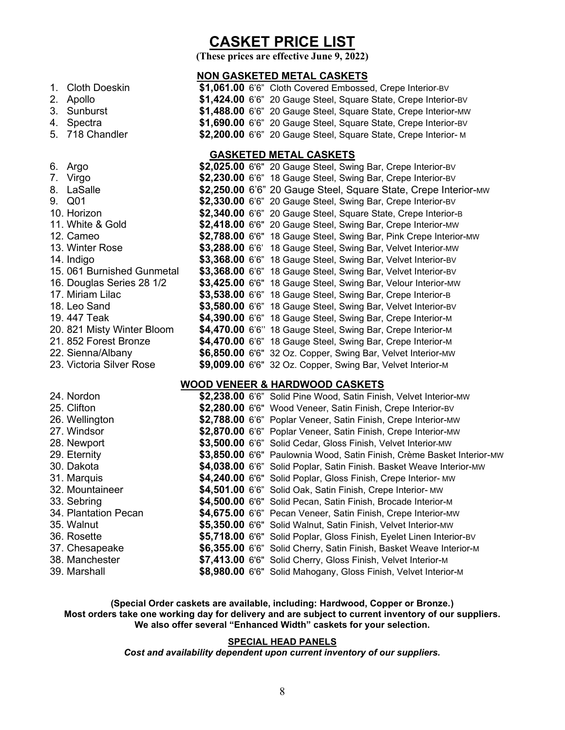# **CASKET PRICE LIST**

**(These prices are effective June 9, 2022)**

#### **NON GASKETED METAL CASKETS**

| 1. Cloth Doeskin | \$1,061.00 6'6" Cloth Covered Embossed, Crepe Interior-BV       |
|------------------|-----------------------------------------------------------------|
| 2. Apollo        | \$1,424.00 6'6" 20 Gauge Steel, Square State, Crepe Interior-BV |
| 3. Sunburst      | \$1,488.00 6'6" 20 Gauge Steel, Square State, Crepe Interior-MW |
| 4. Spectra       | \$1,690.00 6'6" 20 Gauge Steel, Square State, Crepe Interior-BV |
| 5. 718 Chandler  | \$2,200.00 6'6" 20 Gauge Steel, Square State, Crepe Interior-M  |

#### **GASKETED METAL CASKETS**

| 6. Argo                    |  | \$2,025.00 6'6" 20 Gauge Steel, Swing Bar, Crepe Interior-BV      |
|----------------------------|--|-------------------------------------------------------------------|
| 7. Virgo                   |  | \$2,230.00 6'6" 18 Gauge Steel, Swing Bar, Crepe Interior-BV      |
| 8. LaSalle                 |  | \$2,250.00 6'6" 20 Gauge Steel, Square State, Crepe Interior-MW   |
| 9. Q01                     |  | \$2,330.00 6'6" 20 Gauge Steel, Swing Bar, Crepe Interior-BV      |
| 10. Horizon                |  | \$2,340.00 6'6" 20 Gauge Steel, Square State, Crepe Interior-B    |
| 11. White & Gold           |  | \$2,418.00 6'6" 20 Gauge Steel, Swing Bar, Crepe Interior-MW      |
| 12. Cameo                  |  | \$2,788.00 6'6" 18 Gauge Steel, Swing Bar, Pink Crepe Interior-MW |
| 13. Winter Rose            |  | \$3,288.00 6'6' 18 Gauge Steel, Swing Bar, Velvet Interior-MW     |
| 14. Indigo                 |  | \$3,368.00 6'6" 18 Gauge Steel, Swing Bar, Velvet Interior-BV     |
| 15.061 Burnished Gunmetal  |  | \$3,368.00 6'6" 18 Gauge Steel, Swing Bar, Velvet Interior-BV     |
| 16. Douglas Series 28 1/2  |  | \$3,425.00 6'6" 18 Gauge Steel, Swing Bar, Velour Interior-MW     |
| 17. Miriam Lilac           |  | \$3,538.00 6'6" 18 Gauge Steel, Swing Bar, Crepe Interior-B       |
| 18. Leo Sand               |  | \$3,580.00 6'6" 18 Gauge Steel, Swing Bar, Velvet Interior-BV     |
| 19. 447 Teak               |  | \$4,390.00 6'6" 18 Gauge Steel, Swing Bar, Crepe Interior-M       |
| 20. 821 Misty Winter Bloom |  | \$4,470.00 6'6" 18 Gauge Steel, Swing Bar, Crepe Interior-M       |
| 21. 852 Forest Bronze      |  | \$4,470.00 6'6" 18 Gauge Steel, Swing Bar, Crepe Interior-M       |
| 22. Sienna/Albany          |  | \$6,850.00 6'6" 32 Oz. Copper, Swing Bar, Velvet Interior-MW      |
| 23. Victoria Silver Rose   |  | \$9,009.00 6'6" 32 Oz. Copper, Swing Bar, Velvet Interior-M       |

#### **WOOD VENEER & HARDWOOD CASKETS**

| 24. Nordon           |  | \$2,238.00 6'6" Solid Pine Wood, Satin Finish, Velvet Interior-MW      |
|----------------------|--|------------------------------------------------------------------------|
| 25. Clifton          |  | \$2,280.00 6'6" Wood Veneer, Satin Finish, Crepe Interior-BV           |
| 26. Wellington       |  | \$2,788.00 6'6" Poplar Veneer, Satin Finish, Crepe Interior-MW         |
| 27. Windsor          |  | \$2,870.00 6'6" Poplar Veneer, Satin Finish, Crepe Interior-MW         |
| 28. Newport          |  | \$3,500.00 6'6" Solid Cedar, Gloss Finish, Velvet Interior-MW          |
| 29. Eternity         |  | \$3,850.00 6'6" Paulownia Wood, Satin Finish, Crème Basket Interior-MW |
| 30. Dakota           |  | \$4,038.00 6'6" Solid Poplar, Satin Finish. Basket Weave Interior-MW   |
| 31. Marquis          |  | \$4,240.00 6'6" Solid Poplar, Gloss Finish, Crepe Interior- MW         |
| 32. Mountaineer      |  | \$4,501.00 6'6" Solid Oak, Satin Finish, Crepe Interior- MW            |
| 33. Sebring          |  | \$4,500.00 6'6" Solid Pecan, Satin Finish, Brocade Interior-M          |
| 34. Plantation Pecan |  | \$4,675.00 6'6" Pecan Veneer, Satin Finish, Crepe Interior-MW          |
| 35. Walnut           |  | \$5,350.00 6'6" Solid Walnut, Satin Finish, Velvet Interior-MW         |
| 36. Rosette          |  | \$5,718.00 6'6" Solid Poplar, Gloss Finish, Eyelet Linen Interior-BV   |
| 37. Chesapeake       |  | \$6,355.00 6'6" Solid Cherry, Satin Finish, Basket Weave Interior-M    |
| 38. Manchester       |  | \$7,413.00 6'6" Solid Cherry, Gloss Finish, Velvet Interior-M          |
| 39. Marshall         |  | \$8,980.00 6'6" Solid Mahogany, Gloss Finish, Velvet Interior-M        |

**(Special Order caskets are available, including: Hardwood, Copper or Bronze.) Most orders take one working day for delivery and are subject to current inventory of our suppliers. We also offer several "Enhanced Width" caskets for your selection.**

#### **SPECIAL HEAD PANELS**

*Cost and availability dependent upon current inventory of our suppliers.*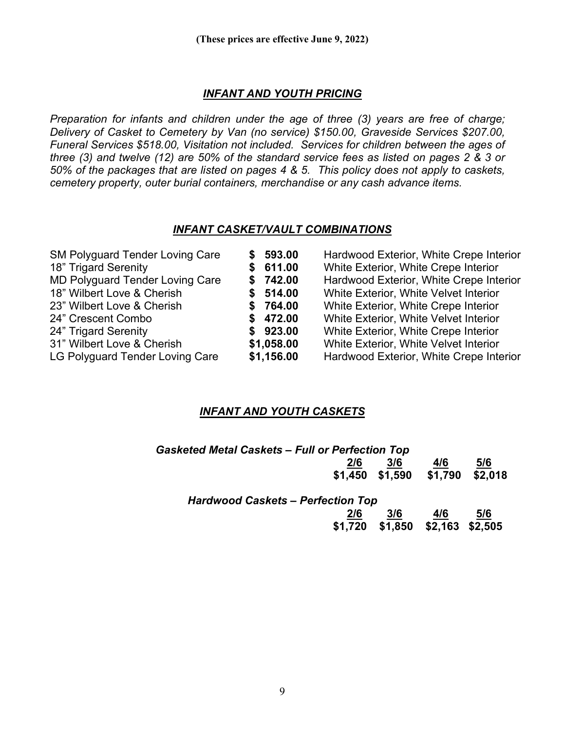### *INFANT AND YOUTH PRICING*

*Preparation for infants and children under the age of three (3) years are free of charge; Delivery of Casket to Cemetery by Van (no service) \$150.00, Graveside Services \$207.00, Funeral Services \$518.00, Visitation not included. Services for children between the ages of three (3) and twelve (12) are 50% of the standard service fees as listed on pages 2 & 3 or 50% of the packages that are listed on pages 4 & 5. This policy does not apply to caskets, cemetery property, outer burial containers, merchandise or any cash advance items.*

#### *INFANT CASKET/VAULT COMBINATIONS*

| <b>SM Polyguard Tender Loving Care</b><br>18" Trigard Serenity | \$593.00<br>\$611.00 | Hardwood Exterior, White Crepe Interior<br>White Exterior, White Crepe Interior |
|----------------------------------------------------------------|----------------------|---------------------------------------------------------------------------------|
| MD Polyguard Tender Loving Care                                | \$742.00             | Hardwood Exterior, White Crepe Interior                                         |
| 18" Wilbert Love & Cherish                                     | \$514.00             | White Exterior, White Velvet Interior                                           |
| 23" Wilbert Love & Cherish                                     | \$764.00             | White Exterior, White Crepe Interior                                            |
| 24" Crescent Combo                                             | \$472.00             | White Exterior, White Velvet Interior                                           |
| 24" Trigard Serenity                                           | \$923.00             | White Exterior, White Crepe Interior                                            |
| 31" Wilbert Love & Cherish                                     | \$1,058.00           | White Exterior, White Velvet Interior                                           |
| LG Polyguard Tender Loving Care                                | \$1,156.00           | Hardwood Exterior, White Crepe Interior                                         |

#### *INFANT AND YOUTH CASKETS*

| <b>Gasketed Metal Caskets - Full or Perfection Top</b> |     |     |                                 |     |
|--------------------------------------------------------|-----|-----|---------------------------------|-----|
|                                                        | 2/6 | 3/6 | 4/6                             | 5/6 |
|                                                        |     |     | \$1,450 \$1,590 \$1,790 \$2,018 |     |
|                                                        |     |     |                                 |     |

| <b>Hardwood Caskets - Perfection Top</b> |     |     |     |
|------------------------------------------|-----|-----|-----|
| 2/6                                      | 3/6 | 4/6 | 5/6 |
| \$1,720 \$1,850 \$2,163 \$2,505          |     |     |     |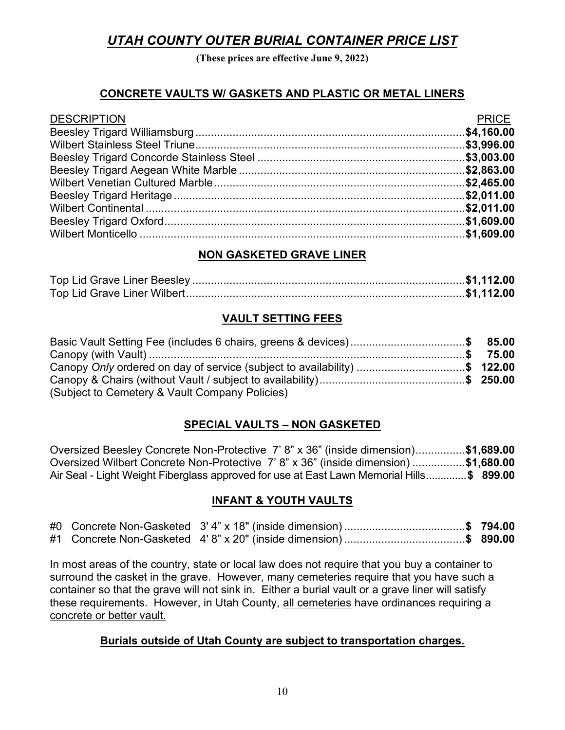# *UTAH COUNTY OUTER BURIAL CONTAINER PRICE LIST*

**(These prices are effective June 9, 2022)**

## **CONCRETE VAULTS W/ GASKETS AND PLASTIC OR METAL LINERS**

| <b>DESCRIPTION</b> | <b>PRICE</b> |
|--------------------|--------------|
|                    |              |
|                    |              |
|                    |              |
|                    |              |
|                    |              |
|                    |              |
|                    |              |
|                    |              |
|                    |              |

### **NON GASKETED GRAVE LINER**

### **VAULT SETTING FEES**

| Basic Vault Setting Fee (includes 6 chairs, greens & devices)\$ 85.00     |  |
|---------------------------------------------------------------------------|--|
|                                                                           |  |
| Canopy Only ordered on day of service (subject to availability) \$ 122.00 |  |
|                                                                           |  |
| (Subject to Cemetery & Vault Company Policies)                            |  |

## **SPECIAL VAULTS – NON GASKETED**

Oversized Beesley Concrete Non-Protective 7' 8" x 36" (inside dimension)................**\$1,689.00** Oversized Wilbert Concrete Non-Protective 7' 8" x 36" (inside dimension) .................**\$1,680.00** Air Seal - Light Weight Fiberglass approved for use at East Lawn Memorial Hills..............**\$ 899.00**

#### **INFANT & YOUTH VAULTS**

|  |  | #0 Concrete Non-Gasketed 3'4" x 18" (inside dimension) \$ 794.00 |  |
|--|--|------------------------------------------------------------------|--|
|  |  | #1 Concrete Non-Gasketed 4'8" x 20" (inside dimension) \$ 890.00 |  |

In most areas of the country, state or local law does not require that you buy a container to surround the casket in the grave. However, many cemeteries require that you have such a container so that the grave will not sink in. Either a burial vault or a grave liner will satisfy these requirements. However, in Utah County, all cemeteries have ordinances requiring a concrete or better vault.

#### **Burials outside of Utah County are subject to transportation charges.**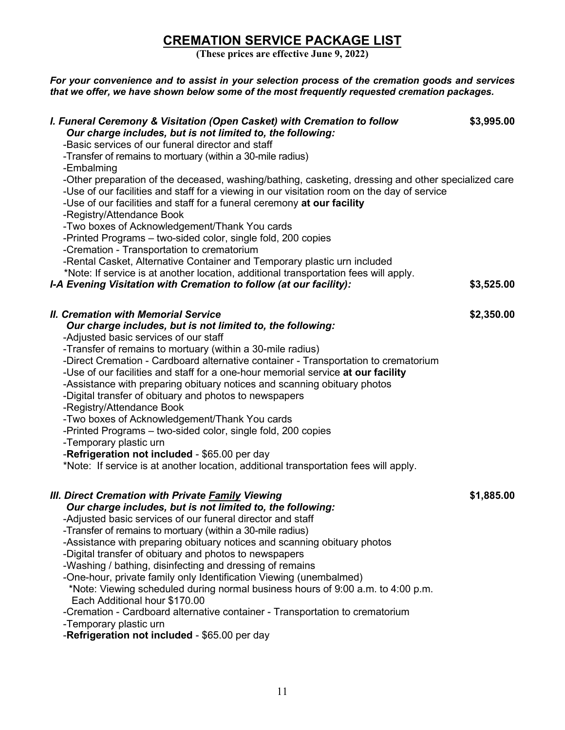# **CREMATION SERVICE PACKAGE LIST**

**(These prices are effective June 9, 2022)**

*For your convenience and to assist in your selection process of the cremation goods and services that we offer, we have shown below some of the most frequently requested cremation packages.* 

| I. Funeral Ceremony & Visitation (Open Casket) with Cremation to follow<br>Our charge includes, but is not limited to, the following:<br>-Basic services of our funeral director and staff<br>-Transfer of remains to mortuary (within a 30-mile radius)<br>-Embalming<br>-Other preparation of the deceased, washing/bathing, casketing, dressing and other specialized care<br>-Use of our facilities and staff for a viewing in our visitation room on the day of service<br>-Use of our facilities and staff for a funeral ceremony at our facility<br>-Registry/Attendance Book<br>-Two boxes of Acknowledgement/Thank You cards<br>-Printed Programs - two-sided color, single fold, 200 copies<br>-Cremation - Transportation to crematorium<br>-Rental Casket, Alternative Container and Temporary plastic urn included                   | \$3,995.00 |
|---------------------------------------------------------------------------------------------------------------------------------------------------------------------------------------------------------------------------------------------------------------------------------------------------------------------------------------------------------------------------------------------------------------------------------------------------------------------------------------------------------------------------------------------------------------------------------------------------------------------------------------------------------------------------------------------------------------------------------------------------------------------------------------------------------------------------------------------------|------------|
| *Note: If service is at another location, additional transportation fees will apply.<br>I-A Evening Visitation with Cremation to follow (at our facility):                                                                                                                                                                                                                                                                                                                                                                                                                                                                                                                                                                                                                                                                                        | \$3,525.00 |
| <b>II. Cremation with Memorial Service</b><br>Our charge includes, but is not limited to, the following:<br>-Adjusted basic services of our staff<br>-Transfer of remains to mortuary (within a 30-mile radius)<br>-Direct Cremation - Cardboard alternative container - Transportation to crematorium<br>-Use of our facilities and staff for a one-hour memorial service at our facility<br>-Assistance with preparing obituary notices and scanning obituary photos<br>-Digital transfer of obituary and photos to newspapers<br>-Registry/Attendance Book<br>-Two boxes of Acknowledgement/Thank You cards<br>-Printed Programs - two-sided color, single fold, 200 copies<br>-Temporary plastic urn<br>-Refrigeration not included - \$65.00 per day<br>*Note: If service is at another location, additional transportation fees will apply. | \$2,350.00 |
| <b>III. Direct Cremation with Private Family Viewing</b><br>Our charge includes, but is not limited to, the following:<br>-Adjusted basic services of our funeral director and staff<br>-Transfer of remains to mortuary (within a 30-mile radius)<br>-Assistance with preparing obituary notices and scanning obituary photos<br>-Digital transfer of obituary and photos to newspapers<br>-Washing / bathing, disinfecting and dressing of remains<br>-One-hour, private family only Identification Viewing (unembalmed)<br>*Note: Viewing scheduled during normal business hours of 9:00 a.m. to 4:00 p.m.<br>Each Additional hour \$170.00<br>-Cremation - Cardboard alternative container - Transportation to crematorium<br>-Temporary plastic urn<br>-Refrigeration not included - \$65.00 per day                                         | \$1,885.00 |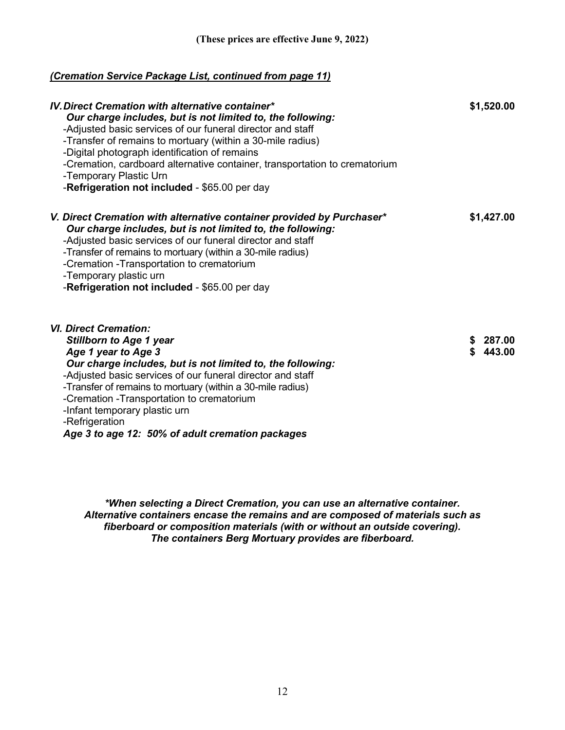#### *(Cremation Service Package List, continued from page 11)*

| <b>IV. Direct Cremation with alternative container*</b><br>Our charge includes, but is not limited to, the following:<br>-Adjusted basic services of our funeral director and staff<br>-Transfer of remains to mortuary (within a 30-mile radius)<br>-Digital photograph identification of remains<br>-Cremation, cardboard alternative container, transportation to crematorium<br>-Temporary Plastic Urn<br>-Refrigeration not included - \$65.00 per day | \$1,520.00           |
|-------------------------------------------------------------------------------------------------------------------------------------------------------------------------------------------------------------------------------------------------------------------------------------------------------------------------------------------------------------------------------------------------------------------------------------------------------------|----------------------|
| V. Direct Cremation with alternative container provided by Purchaser*<br>Our charge includes, but is not limited to, the following:<br>-Adjusted basic services of our funeral director and staff<br>-Transfer of remains to mortuary (within a 30-mile radius)<br>-Cremation -Transportation to crematorium<br>-Temporary plastic urn<br>-Refrigeration not included - \$65.00 per day                                                                     | \$1,427.00           |
| <b>VI. Direct Cremation:</b><br><b>Stillborn to Age 1 year</b><br>Age 1 year to Age 3<br>Our charge includes, but is not limited to, the following:<br>-Adjusted basic services of our funeral director and staff<br>-Transfer of remains to mortuary (within a 30-mile radius)<br>-Cremation -Transportation to crematorium<br>-Infant temporary plastic urn<br>-Refrigeration<br>$\sim$ $\sim$ $\sim$ $\sim$ $\sim$ $\sim$ $\sim$                         | \$287.00<br>\$443.00 |

*Age 3 to age 12: 50% of adult cremation packages*

*\*When selecting a Direct Cremation, you can use an alternative container. Alternative containers encase the remains and are composed of materials such as fiberboard or composition materials (with or without an outside covering). The containers Berg Mortuary provides are fiberboard.*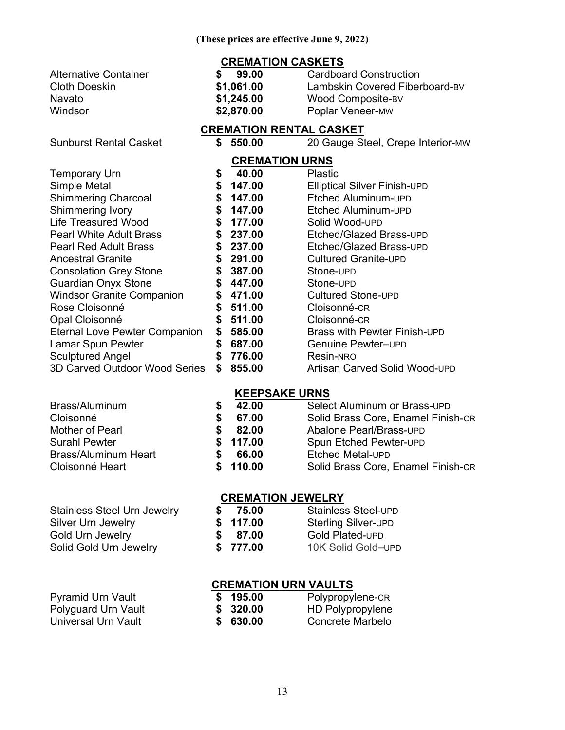#### **CREMATION CASKETS**

| Alternative Container | 99.00      | <b>Cardboard Construction</b>  |
|-----------------------|------------|--------------------------------|
| Cloth Doeskin         | \$1,061.00 | Lambskin Covered Fiberboard-BV |
| Navato                | \$1,245.00 | Wood Composite-BV              |
| Windsor               | \$2,870.00 | <b>Poplar Veneer-MW</b>        |
|                       |            |                                |

#### **CREMATION RENTAL CASKET**

Sunburst Rental Casket **\$ 550.00** 20 Gauge Steel, Crepe Interior-MW

| <b>CREMATION URNS</b>            |    |        |                               |
|----------------------------------|----|--------|-------------------------------|
| <b>Temporary Urn</b>             | \$ | 40.00  | Plastic                       |
| Simple Metal                     | \$ | 147.00 | Elliptical Silver Finish-UPD  |
| <b>Shimmering Charcoal</b>       | S  | 147.00 | Etched Aluminum-UPD           |
| Shimmering Ivory                 | S  | 147.00 | Etched Aluminum-UPD           |
| <b>Life Treasured Wood</b>       | S  | 177.00 | Solid Wood-UPD                |
| <b>Pearl White Adult Brass</b>   | \$ | 237.00 | Etched/Glazed Brass-UPD       |
| <b>Pearl Red Adult Brass</b>     | S  | 237.00 | Etched/Glazed Brass-UPD       |
| <b>Ancestral Granite</b>         |    | 291.00 | <b>Cultured Granite-UPD</b>   |
| <b>Consolation Grey Stone</b>    | S  | 387.00 | Stone-UPD                     |
| <b>Guardian Onyx Stone</b>       | S  | 447.00 | Stone-UPD                     |
| <b>Windsor Granite Companion</b> | S  | 471.00 | <b>Cultured Stone-UPD</b>     |
| Rose Cloisonné                   | S  | 511.00 | Cloisonné-CR                  |
| Opal Cloisonné                   | S  | 511.00 | Cloisonné-CR                  |
| Eternal Love Pewter Companion    | S  | 585.00 | Brass with Pewter Finish-UPD  |
| Lamar Spun Pewter                |    | 687.00 | Genuine Pewter-UPD            |
| <b>Sculptured Angel</b>          | S  | 776.00 | Resin-NRO                     |
| 3D Carved Outdoor Wood Series    | S  | 855.00 | Artisan Carved Solid Wood-UPD |

#### **KEEPSAKE URNS**

| 42.00    | Select Aluminum or Brass-UPD       |
|----------|------------------------------------|
| 67.00    | Solid Brass Core, Enamel Finish-CR |
| 82.00    | Abalone Pearl/Brass-UPD            |
| \$117.00 | <b>Spun Etched Pewter-UPD</b>      |
| 66.00    | <b>Etched Metal-UPD</b>            |
| \$110.00 | Solid Brass Core, Enamel Finish-CR |
|          |                                    |

## **CREMATION JEWELRY**

| <b>Stainless Steel Urn Jewelry</b> |    | 75.00    | <b>Stainless Steel-UPD</b> |
|------------------------------------|----|----------|----------------------------|
| Silver Urn Jewelry                 |    | \$117.00 | <b>Sterling Silver-UPD</b> |
| Gold Urn Jewelry                   | S. | 87.00    | <b>Gold Plated-UPD</b>     |
| Solid Gold Urn Jewelry             |    | \$777.00 | 10K Solid Gold-UPD         |

## **CREMATION URN VAULTS**

| <b>Pyramid Urn Vault</b> | \$195.00 | Polypropylene-CR        |
|--------------------------|----------|-------------------------|
| Polyguard Urn Vault      | \$320.00 | <b>HD Polypropylene</b> |
| Universal Urn Vault      | \$630.00 | Concrete Marbelo        |